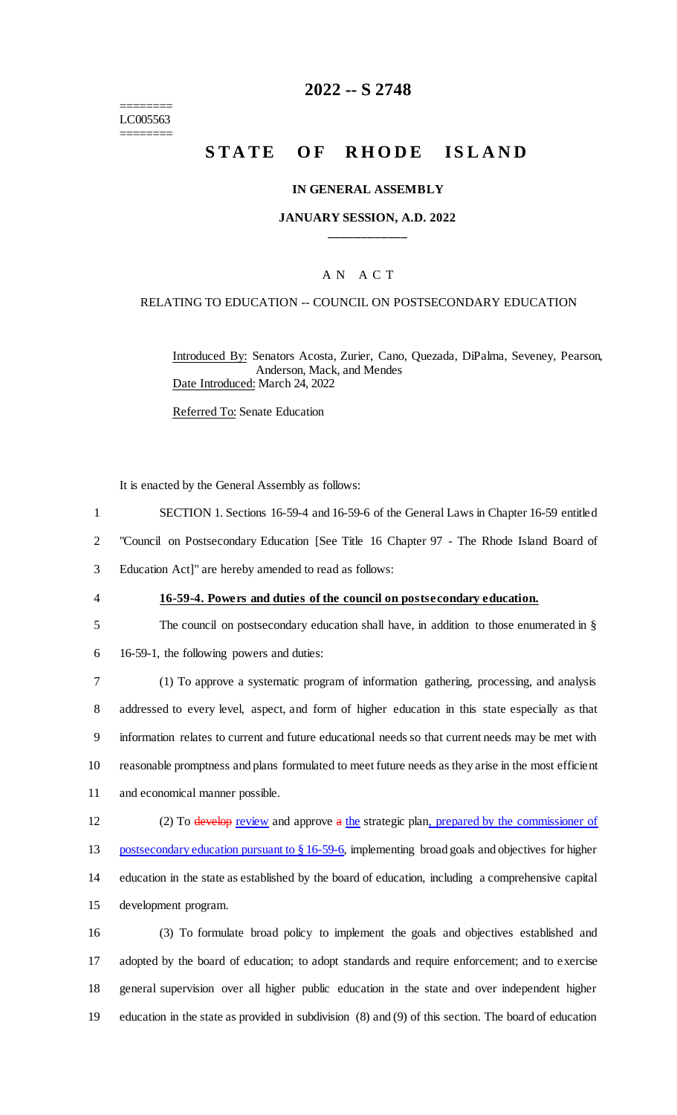======== LC005563 ========

# **2022 -- S 2748**

# **STATE OF RHODE ISLAND**

#### **IN GENERAL ASSEMBLY**

#### **JANUARY SESSION, A.D. 2022 \_\_\_\_\_\_\_\_\_\_\_\_**

### A N A C T

#### RELATING TO EDUCATION -- COUNCIL ON POSTSECONDARY EDUCATION

Introduced By: Senators Acosta, Zurier, Cano, Quezada, DiPalma, Seveney, Pearson, Anderson, Mack, and Mendes Date Introduced: March 24, 2022

Referred To: Senate Education

It is enacted by the General Assembly as follows:

1 SECTION 1. Sections 16-59-4 and 16-59-6 of the General Laws in Chapter 16-59 entitled

2 "Council on Postsecondary Education [See Title 16 Chapter 97 - The Rhode Island Board of

3 Education Act]" are hereby amended to read as follows:

#### 4 **16-59-4. Powers and duties of the council on postsecondary education.**

5 The council on postsecondary education shall have, in addition to those enumerated in § 6 16-59-1, the following powers and duties:

 (1) To approve a systematic program of information gathering, processing, and analysis addressed to every level, aspect, and form of higher education in this state especially as that information relates to current and future educational needs so that current needs may be met with reasonable promptness and plans formulated to meet future needs as they arise in the most efficient and economical manner possible.

12 (2) To develop review and approve a the strategic plan, prepared by the commissioner of 13 postsecondary education pursuant to § 16-59-6, implementing broad goals and objectives for higher 14 education in the state as established by the board of education, including a comprehensive capital 15 development program.

 (3) To formulate broad policy to implement the goals and objectives established and adopted by the board of education; to adopt standards and require enforcement; and to exercise general supervision over all higher public education in the state and over independent higher education in the state as provided in subdivision (8) and (9) of this section. The board of education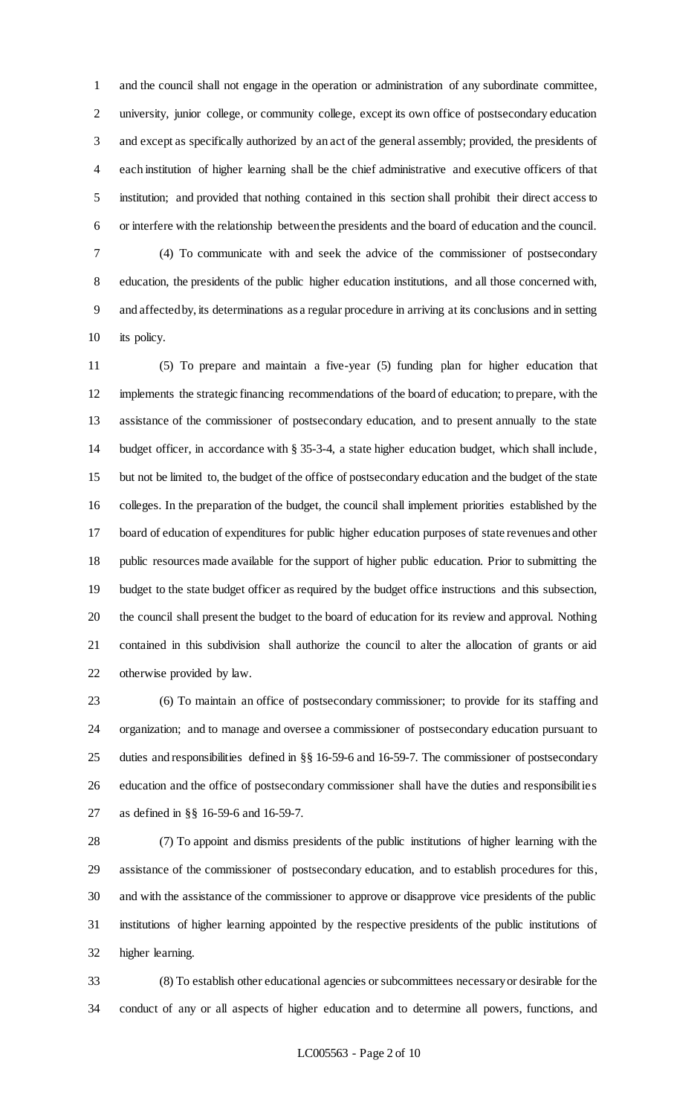and the council shall not engage in the operation or administration of any subordinate committee, university, junior college, or community college, except its own office of postsecondary education and except as specifically authorized by an act of the general assembly; provided, the presidents of each institution of higher learning shall be the chief administrative and executive officers of that institution; and provided that nothing contained in this section shall prohibit their direct access to or interfere with the relationship between the presidents and the board of education and the council.

 (4) To communicate with and seek the advice of the commissioner of postsecondary education, the presidents of the public higher education institutions, and all those concerned with, and affected by, its determinations as a regular procedure in arriving at its conclusions and in setting its policy.

 (5) To prepare and maintain a five-year (5) funding plan for higher education that implements the strategic financing recommendations of the board of education; to prepare, with the assistance of the commissioner of postsecondary education, and to present annually to the state budget officer, in accordance with § 35-3-4, a state higher education budget, which shall include, but not be limited to, the budget of the office of postsecondary education and the budget of the state colleges. In the preparation of the budget, the council shall implement priorities established by the board of education of expenditures for public higher education purposes of state revenues and other public resources made available for the support of higher public education. Prior to submitting the budget to the state budget officer as required by the budget office instructions and this subsection, the council shall present the budget to the board of education for its review and approval. Nothing contained in this subdivision shall authorize the council to alter the allocation of grants or aid otherwise provided by law.

 (6) To maintain an office of postsecondary commissioner; to provide for its staffing and organization; and to manage and oversee a commissioner of postsecondary education pursuant to duties and responsibilities defined in §§ 16-59-6 and 16-59-7. The commissioner of postsecondary education and the office of postsecondary commissioner shall have the duties and responsibilities as defined in §§ 16-59-6 and 16-59-7.

 (7) To appoint and dismiss presidents of the public institutions of higher learning with the assistance of the commissioner of postsecondary education, and to establish procedures for this, and with the assistance of the commissioner to approve or disapprove vice presidents of the public institutions of higher learning appointed by the respective presidents of the public institutions of higher learning.

 (8) To establish other educational agencies or subcommittees necessary or desirable for the conduct of any or all aspects of higher education and to determine all powers, functions, and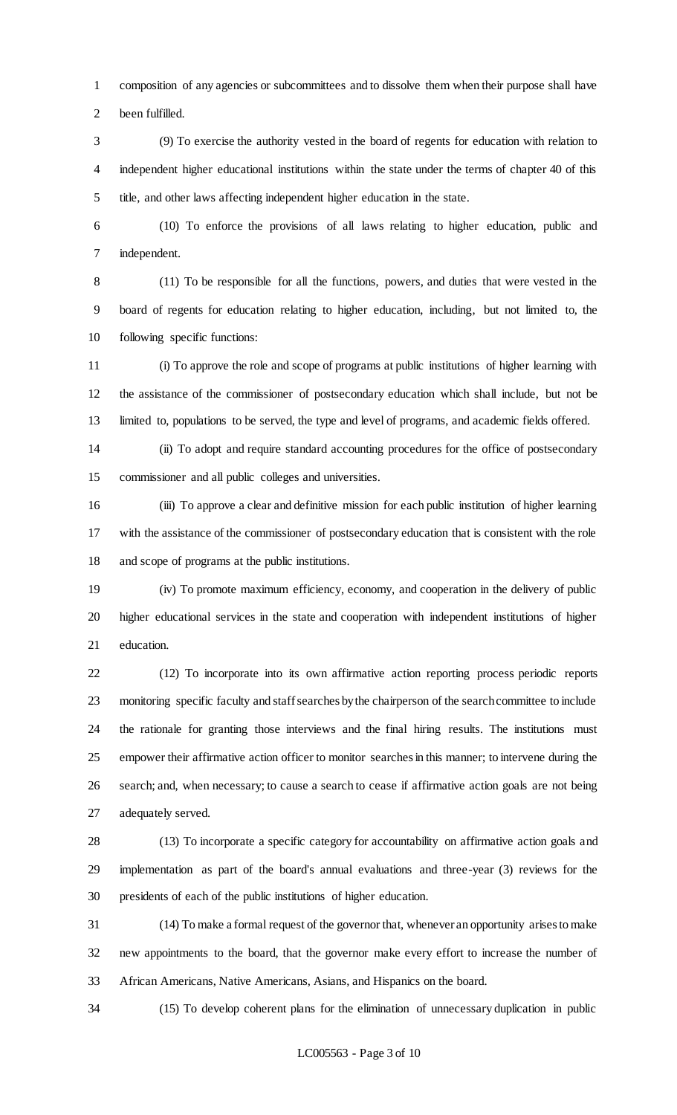composition of any agencies or subcommittees and to dissolve them when their purpose shall have been fulfilled.

 (9) To exercise the authority vested in the board of regents for education with relation to independent higher educational institutions within the state under the terms of chapter 40 of this title, and other laws affecting independent higher education in the state.

 (10) To enforce the provisions of all laws relating to higher education, public and independent.

 (11) To be responsible for all the functions, powers, and duties that were vested in the board of regents for education relating to higher education, including, but not limited to, the following specific functions:

 (i) To approve the role and scope of programs at public institutions of higher learning with the assistance of the commissioner of postsecondary education which shall include, but not be limited to, populations to be served, the type and level of programs, and academic fields offered.

 (ii) To adopt and require standard accounting procedures for the office of postsecondary commissioner and all public colleges and universities.

 (iii) To approve a clear and definitive mission for each public institution of higher learning with the assistance of the commissioner of postsecondary education that is consistent with the role and scope of programs at the public institutions.

 (iv) To promote maximum efficiency, economy, and cooperation in the delivery of public higher educational services in the state and cooperation with independent institutions of higher education.

 (12) To incorporate into its own affirmative action reporting process periodic reports monitoring specific faculty and staff searches by the chairperson of the search committee to include the rationale for granting those interviews and the final hiring results. The institutions must empower their affirmative action officer to monitor searches in this manner; to intervene during the search; and, when necessary; to cause a search to cease if affirmative action goals are not being adequately served.

 (13) To incorporate a specific category for accountability on affirmative action goals and implementation as part of the board's annual evaluations and three-year (3) reviews for the presidents of each of the public institutions of higher education.

 (14) To make a formal request of the governor that, whenever an opportunity arises to make new appointments to the board, that the governor make every effort to increase the number of African Americans, Native Americans, Asians, and Hispanics on the board.

(15) To develop coherent plans for the elimination of unnecessary duplication in public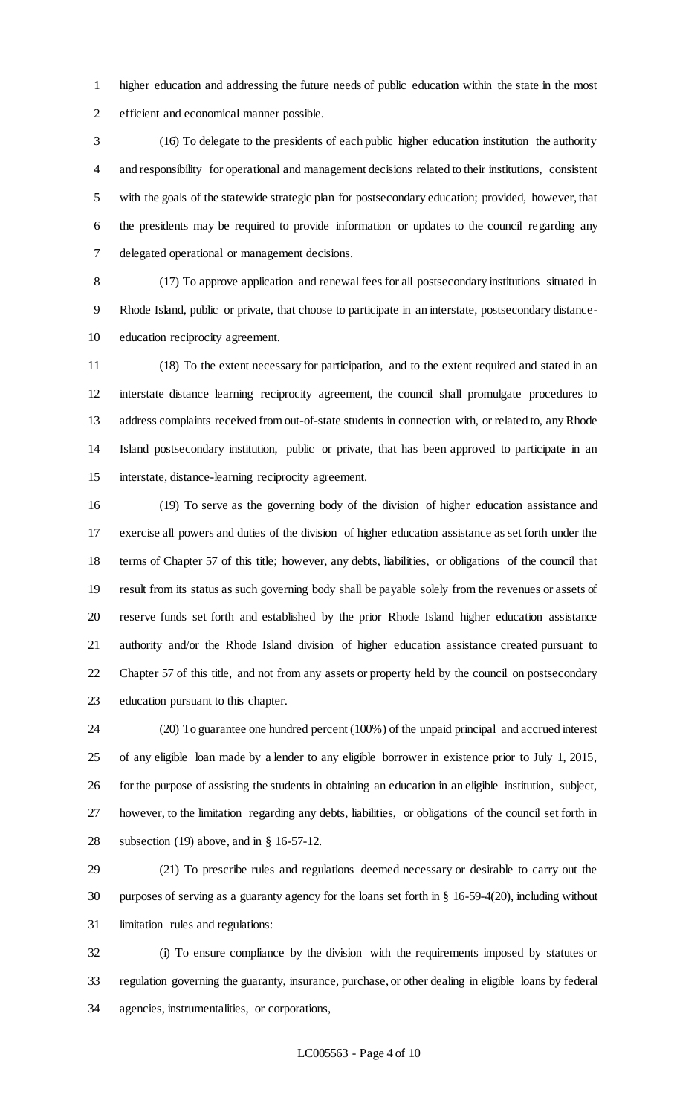higher education and addressing the future needs of public education within the state in the most efficient and economical manner possible.

 (16) To delegate to the presidents of each public higher education institution the authority and responsibility for operational and management decisions related to their institutions, consistent with the goals of the statewide strategic plan for postsecondary education; provided, however, that the presidents may be required to provide information or updates to the council regarding any delegated operational or management decisions.

 (17) To approve application and renewal fees for all postsecondary institutions situated in Rhode Island, public or private, that choose to participate in an interstate, postsecondary distance-education reciprocity agreement.

 (18) To the extent necessary for participation, and to the extent required and stated in an interstate distance learning reciprocity agreement, the council shall promulgate procedures to address complaints received from out-of-state students in connection with, or related to, any Rhode Island postsecondary institution, public or private, that has been approved to participate in an interstate, distance-learning reciprocity agreement.

 (19) To serve as the governing body of the division of higher education assistance and exercise all powers and duties of the division of higher education assistance as set forth under the terms of Chapter 57 of this title; however, any debts, liabilities, or obligations of the council that result from its status as such governing body shall be payable solely from the revenues or assets of reserve funds set forth and established by the prior Rhode Island higher education assistance authority and/or the Rhode Island division of higher education assistance created pursuant to Chapter 57 of this title, and not from any assets or property held by the council on postsecondary education pursuant to this chapter.

 (20) To guarantee one hundred percent (100%) of the unpaid principal and accrued interest of any eligible loan made by a lender to any eligible borrower in existence prior to July 1, 2015, for the purpose of assisting the students in obtaining an education in an eligible institution, subject, however, to the limitation regarding any debts, liabilities, or obligations of the council set forth in subsection (19) above, and in § 16-57-12.

 (21) To prescribe rules and regulations deemed necessary or desirable to carry out the purposes of serving as a guaranty agency for the loans set forth in § 16-59-4(20), including without limitation rules and regulations:

 (i) To ensure compliance by the division with the requirements imposed by statutes or regulation governing the guaranty, insurance, purchase, or other dealing in eligible loans by federal agencies, instrumentalities, or corporations,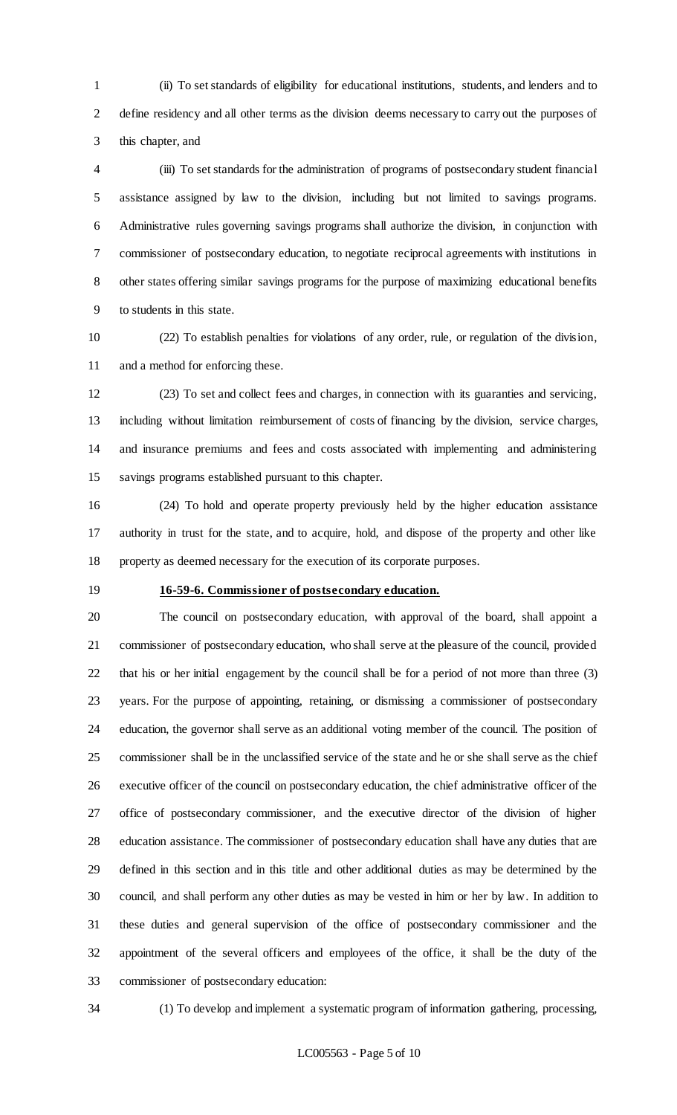(ii) To set standards of eligibility for educational institutions, students, and lenders and to define residency and all other terms as the division deems necessary to carry out the purposes of this chapter, and

 (iii) To set standards for the administration of programs of postsecondary student financial assistance assigned by law to the division, including but not limited to savings programs. Administrative rules governing savings programs shall authorize the division, in conjunction with commissioner of postsecondary education, to negotiate reciprocal agreements with institutions in other states offering similar savings programs for the purpose of maximizing educational benefits to students in this state.

 (22) To establish penalties for violations of any order, rule, or regulation of the division, and a method for enforcing these.

 (23) To set and collect fees and charges, in connection with its guaranties and servicing, including without limitation reimbursement of costs of financing by the division, service charges, and insurance premiums and fees and costs associated with implementing and administering savings programs established pursuant to this chapter.

 (24) To hold and operate property previously held by the higher education assistance authority in trust for the state, and to acquire, hold, and dispose of the property and other like property as deemed necessary for the execution of its corporate purposes.

### **16-59-6. Commissioner of postsecondary education.**

 The council on postsecondary education, with approval of the board, shall appoint a commissioner of postsecondary education, who shall serve at the pleasure of the council, provided that his or her initial engagement by the council shall be for a period of not more than three (3) years. For the purpose of appointing, retaining, or dismissing a commissioner of postsecondary education, the governor shall serve as an additional voting member of the council. The position of commissioner shall be in the unclassified service of the state and he or she shall serve as the chief executive officer of the council on postsecondary education, the chief administrative officer of the office of postsecondary commissioner, and the executive director of the division of higher education assistance. The commissioner of postsecondary education shall have any duties that are defined in this section and in this title and other additional duties as may be determined by the council, and shall perform any other duties as may be vested in him or her by law. In addition to these duties and general supervision of the office of postsecondary commissioner and the appointment of the several officers and employees of the office, it shall be the duty of the commissioner of postsecondary education:

(1) To develop and implement a systematic program of information gathering, processing,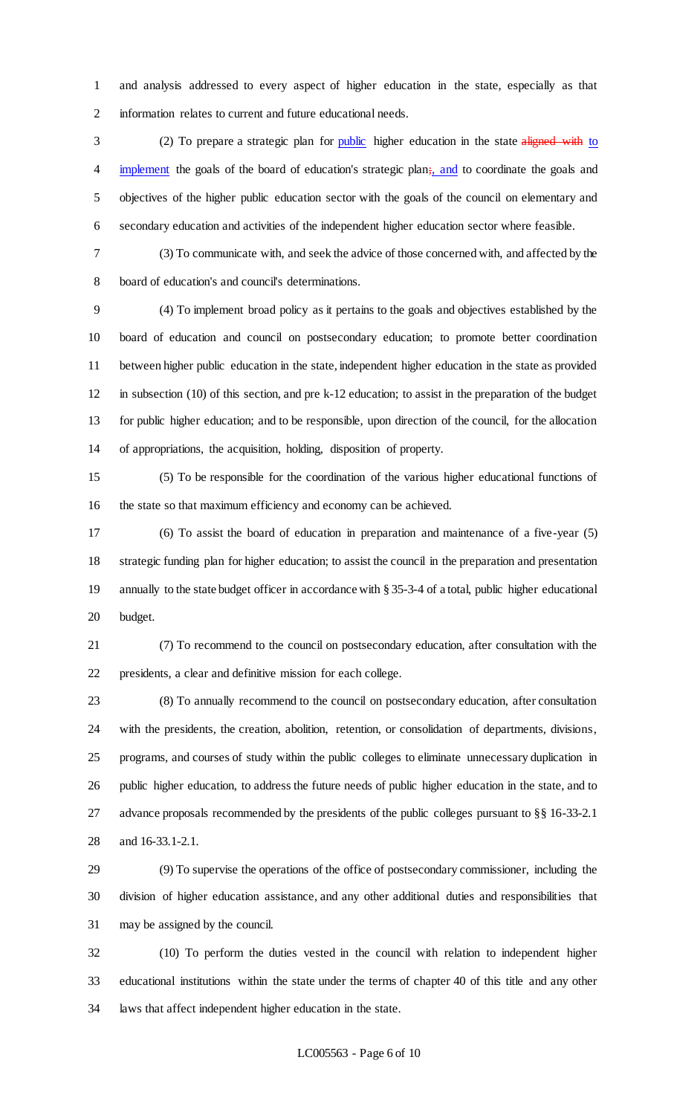and analysis addressed to every aspect of higher education in the state, especially as that information relates to current and future educational needs.

3 (2) To prepare a strategic plan for public higher education in the state aligned with to 4 implement the goals of the board of education's strategic plan; and to coordinate the goals and objectives of the higher public education sector with the goals of the council on elementary and secondary education and activities of the independent higher education sector where feasible.

 (3) To communicate with, and seek the advice of those concerned with, and affected by the board of education's and council's determinations.

 (4) To implement broad policy as it pertains to the goals and objectives established by the board of education and council on postsecondary education; to promote better coordination between higher public education in the state, independent higher education in the state as provided in subsection (10) of this section, and pre k-12 education; to assist in the preparation of the budget for public higher education; and to be responsible, upon direction of the council, for the allocation of appropriations, the acquisition, holding, disposition of property.

 (5) To be responsible for the coordination of the various higher educational functions of the state so that maximum efficiency and economy can be achieved.

 (6) To assist the board of education in preparation and maintenance of a five-year (5) strategic funding plan for higher education; to assist the council in the preparation and presentation annually to the state budget officer in accordance with § 35-3-4 of a total, public higher educational budget.

 (7) To recommend to the council on postsecondary education, after consultation with the presidents, a clear and definitive mission for each college.

 (8) To annually recommend to the council on postsecondary education, after consultation with the presidents, the creation, abolition, retention, or consolidation of departments, divisions, programs, and courses of study within the public colleges to eliminate unnecessary duplication in public higher education, to address the future needs of public higher education in the state, and to advance proposals recommended by the presidents of the public colleges pursuant to §§ 16-33-2.1 and 16-33.1-2.1.

 (9) To supervise the operations of the office of postsecondary commissioner, including the division of higher education assistance, and any other additional duties and responsibilities that may be assigned by the council.

 (10) To perform the duties vested in the council with relation to independent higher educational institutions within the state under the terms of chapter 40 of this title and any other laws that affect independent higher education in the state.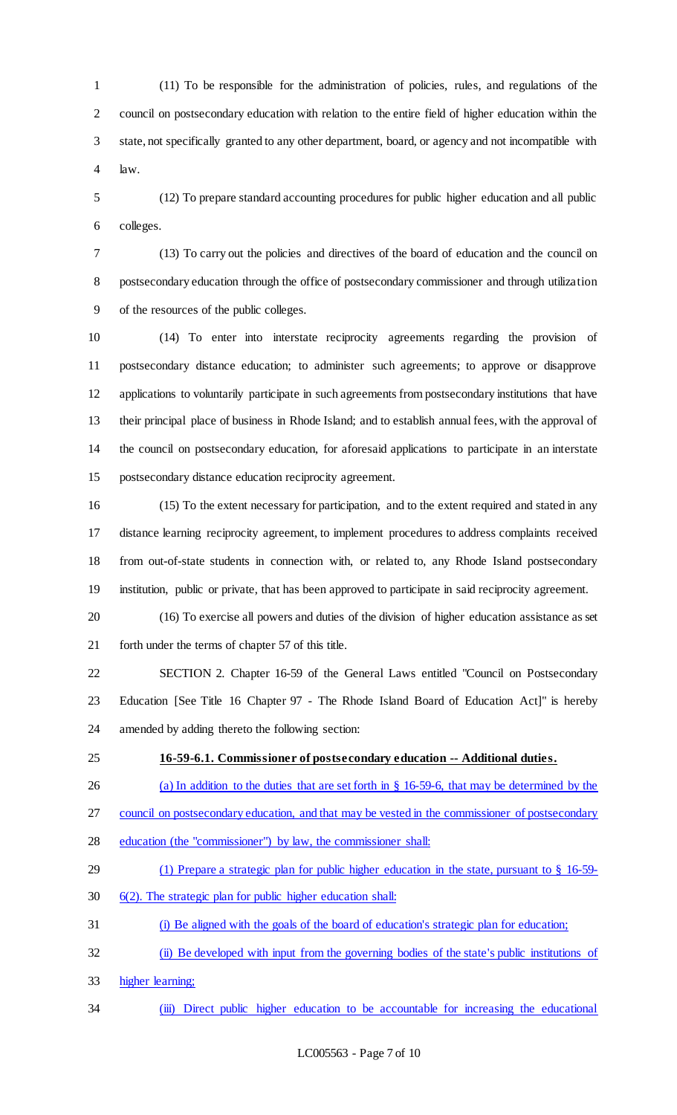(11) To be responsible for the administration of policies, rules, and regulations of the council on postsecondary education with relation to the entire field of higher education within the state, not specifically granted to any other department, board, or agency and not incompatible with law.

 (12) To prepare standard accounting procedures for public higher education and all public colleges.

 (13) To carry out the policies and directives of the board of education and the council on postsecondary education through the office of postsecondary commissioner and through utilization of the resources of the public colleges.

 (14) To enter into interstate reciprocity agreements regarding the provision of postsecondary distance education; to administer such agreements; to approve or disapprove applications to voluntarily participate in such agreements from postsecondary institutions that have their principal place of business in Rhode Island; and to establish annual fees, with the approval of the council on postsecondary education, for aforesaid applications to participate in an interstate postsecondary distance education reciprocity agreement.

 (15) To the extent necessary for participation, and to the extent required and stated in any distance learning reciprocity agreement, to implement procedures to address complaints received from out-of-state students in connection with, or related to, any Rhode Island postsecondary institution, public or private, that has been approved to participate in said reciprocity agreement.

 (16) To exercise all powers and duties of the division of higher education assistance as set forth under the terms of chapter 57 of this title.

 SECTION 2. Chapter 16-59 of the General Laws entitled "Council on Postsecondary Education [See Title 16 Chapter 97 - The Rhode Island Board of Education Act]" is hereby amended by adding thereto the following section:

#### **16-59-6.1. Commissioner of postsecondary education -- Additional duties.**

26 (a) In addition to the duties that are set forth in § 16-59-6, that may be determined by the

council on postsecondary education, and that may be vested in the commissioner of postsecondary

- education (the "commissioner") by law, the commissioner shall:
- (1) Prepare a strategic plan for public higher education in the state, pursuant to § 16-59-
- 6(2). The strategic plan for public higher education shall:
- (i) Be aligned with the goals of the board of education's strategic plan for education;
- (ii) Be developed with input from the governing bodies of the state's public institutions of
- higher learning;
- (iii) Direct public higher education to be accountable for increasing the educational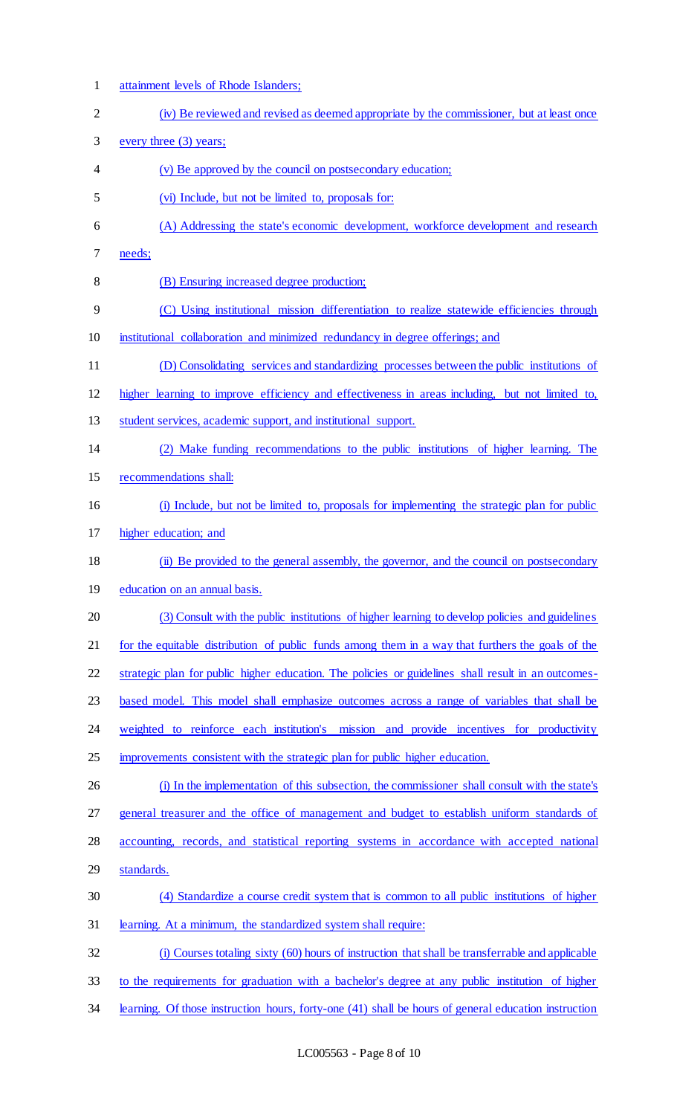(iv) Be reviewed and revised as deemed appropriate by the commissioner, but at least once every three (3) years; (v) Be approved by the council on postsecondary education; (vi) Include, but not be limited to, proposals for: (A) Addressing the state's economic development, workforce development and research needs; (B) Ensuring increased degree production; (C) Using institutional mission differentiation to realize statewide efficiencies through institutional collaboration and minimized redundancy in degree offerings; and (D) Consolidating services and standardizing processes between the public institutions of higher learning to improve efficiency and effectiveness in areas including, but not limited to, student services, academic support, and institutional support. (2) Make funding recommendations to the public institutions of higher learning. The recommendations shall: (i) Include, but not be limited to, proposals for implementing the strategic plan for public higher education; and (ii) Be provided to the general assembly, the governor, and the council on postsecondary education on an annual basis. (3) Consult with the public institutions of higher learning to develop policies and guidelines 21 for the equitable distribution of public funds among them in a way that furthers the goals of the strategic plan for public higher education. The policies or guidelines shall result in an outcomes- based model. This model shall emphasize outcomes across a range of variables that shall be 24 weighted to reinforce each institution's mission and provide incentives for productivity improvements consistent with the strategic plan for public higher education. (i) In the implementation of this subsection, the commissioner shall consult with the state's general treasurer and the office of management and budget to establish uniform standards of accounting, records, and statistical reporting systems in accordance with accepted national standards. (4) Standardize a course credit system that is common to all public institutions of higher learning. At a minimum, the standardized system shall require: (i) Courses totaling sixty (60) hours of instruction that shall be transferrable and applicable

attainment levels of Rhode Islanders;

- to the requirements for graduation with a bachelor's degree at any public institution of higher
- learning. Of those instruction hours, forty-one (41) shall be hours of general education instruction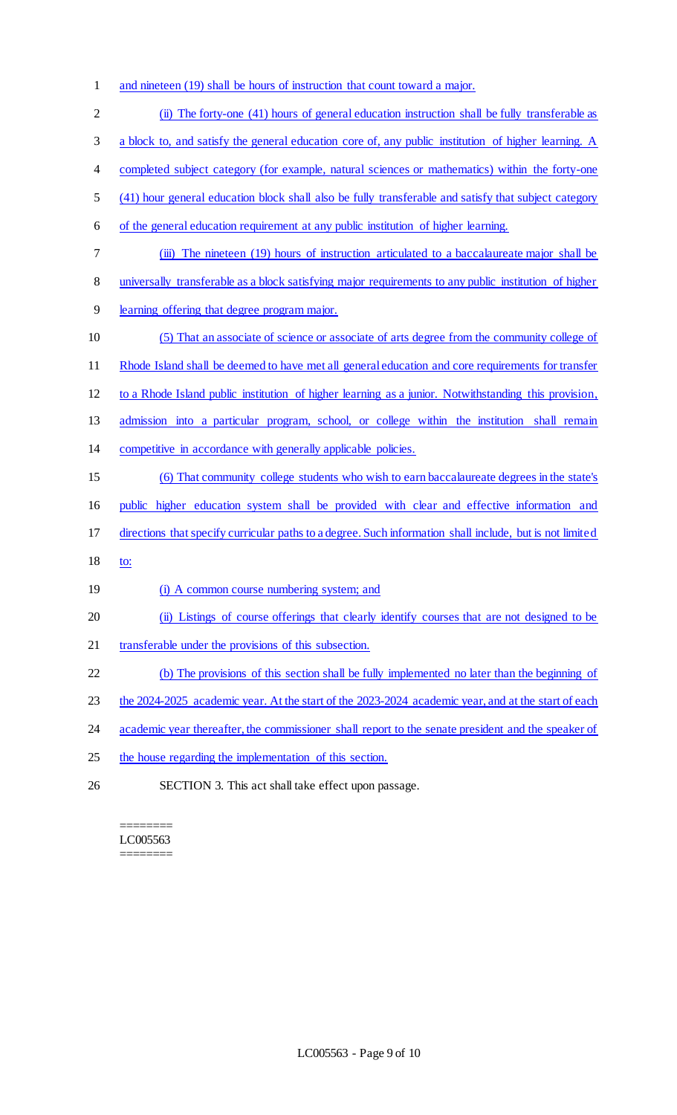and nineteen (19) shall be hours of instruction that count toward a major. (ii) The forty-one (41) hours of general education instruction shall be fully transferable as a block to, and satisfy the general education core of, any public institution of higher learning. A 4 completed subject category (for example, natural sciences or mathematics) within the forty-one (41) hour general education block shall also be fully transferable and satisfy that subject category of the general education requirement at any public institution of higher learning. (iii) The nineteen (19) hours of instruction articulated to a baccalaureate major shall be universally transferable as a block satisfying major requirements to any public institution of higher learning offering that degree program major. (5) That an associate of science or associate of arts degree from the community college of Rhode Island shall be deemed to have met all general education and core requirements for transfer to a Rhode Island public institution of higher learning as a junior. Notwithstanding this provision, admission into a particular program, school, or college within the institution shall remain competitive in accordance with generally applicable policies. (6) That community college students who wish to earn baccalaureate degrees in the state's public higher education system shall be provided with clear and effective information and directions that specify curricular paths to a degree. Such information shall include, but is not limited to: 19 (i) A common course numbering system; and (ii) Listings of course offerings that clearly identify courses that are not designed to be 21 transferable under the provisions of this subsection. (b) The provisions of this section shall be fully implemented no later than the beginning of 23 the 2024-2025 academic year. At the start of the 2023-2024 academic year, and at the start of each 24 academic year thereafter, the commissioner shall report to the senate president and the speaker of the house regarding the implementation of this section. SECTION 3. This act shall take effect upon passage.

======== LC005563 ========